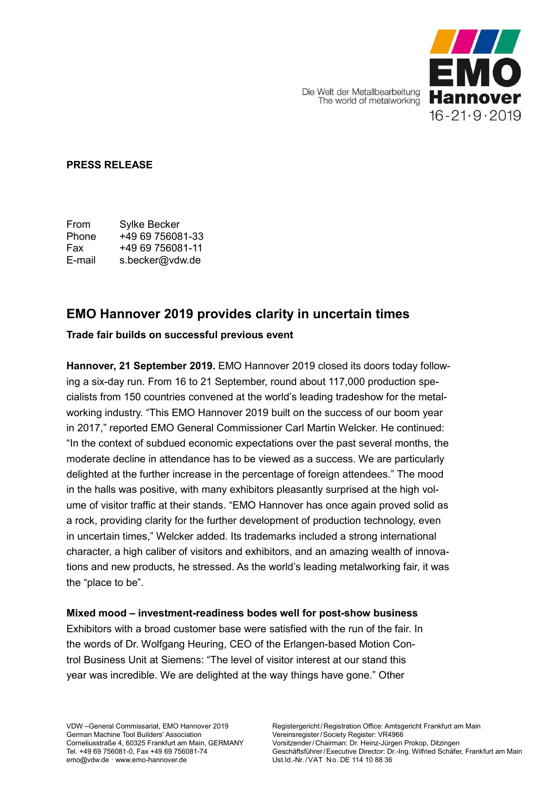EMO  $16 - 21 \cdot 9 \cdot 2019$ 

Die Welt der Metallbearbeitung The world of metalworking

## **PRESS RELEASE**

From Sylke Becker Phone +49 69 756081-33 Fax +49 69 756081-11 E-mail s.becker@vdw.de

# **EMO Hannover 2019 provides clarity in uncertain times**

# **Trade fair builds on successful previous event**

**Hannover, 21 September 2019.** EMO Hannover 2019 closed its doors today following a six-day run. From 16 to 21 September, round about 117,000 production specialists from 150 countries convened at the world's leading tradeshow for the metalworking industry. "This EMO Hannover 2019 built on the success of our boom year in 2017," reported EMO General Commissioner Carl Martin Welcker. He continued: "In the context of subdued economic expectations over the past several months, the moderate decline in attendance has to be viewed as a success. We are particularly delighted at the further increase in the percentage of foreign attendees." The mood in the halls was positive, with many exhibitors pleasantly surprised at the high volume of visitor traffic at their stands. "EMO Hannover has once again proved solid as a rock, providing clarity for the further development of production technology, even in uncertain times," Welcker added. Its trademarks included a strong international character, a high caliber of visitors and exhibitors, and an amazing wealth of innovations and new products, he stressed. As the world's leading metalworking fair, it was the "place to be".

# **Mixed mood – investment-readiness bodes well for post-show business**

Exhibitors with a broad customer base were satisfied with the run of the fair. In the words of Dr. Wolfgang Heuring, CEO of the Erlangen-based Motion Control Business Unit at Siemens: "The level of visitor interest at our stand this year was incredible. We are delighted at the way things have gone." Other

VDW –General Commissariat, EMO Hannover 2019 German Machine Tool Builders' Association Corneliusstraße 4, 60325 Frankfurt am Main, GERMANY Tel. +49 69 756081-0, Fax +49 69 756081-74 emo@vdw.de · www.emo-hannover.de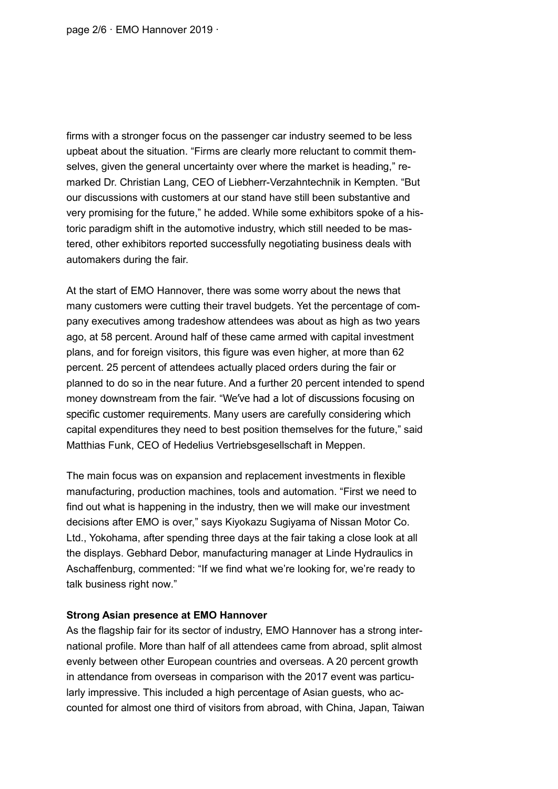page 2/6 · EMO Hannover 2019 ·

firms with a stronger focus on the passenger car industry seemed to be less upbeat about the situation. "Firms are clearly more reluctant to commit themselves, given the general uncertainty over where the market is heading," remarked Dr. Christian Lang, CEO of Liebherr-Verzahntechnik in Kempten. "But our discussions with customers at our stand have still been substantive and very promising for the future," he added. While some exhibitors spoke of a historic paradigm shift in the automotive industry, which still needed to be mastered, other exhibitors reported successfully negotiating business deals with automakers during the fair.

At the start of EMO Hannover, there was some worry about the news that many customers were cutting their travel budgets. Yet the percentage of company executives among tradeshow attendees was about as high as two years ago, at 58 percent. Around half of these came armed with capital investment plans, and for foreign visitors, this figure was even higher, at more than 62 percent. 25 percent of attendees actually placed orders during the fair or planned to do so in the near future. And a further 20 percent intended to spend money downstream from the fair. "We've had a lot of discussions focusing on specific customer requirements. Many users are carefully considering which capital expenditures they need to best position themselves for the future," said Matthias Funk, CEO of Hedelius Vertriebsgesellschaft in Meppen.

The main focus was on expansion and replacement investments in flexible manufacturing, production machines, tools and automation. "First we need to find out what is happening in the industry, then we will make our investment decisions after EMO is over," says Kiyokazu Sugiyama of Nissan Motor Co. Ltd., Yokohama, after spending three days at the fair taking a close look at all the displays. Gebhard Debor, manufacturing manager at Linde Hydraulics in Aschaffenburg, commented: "If we find what we're looking for, we're ready to talk business right now."

#### **Strong Asian presence at EMO Hannover**

As the flagship fair for its sector of industry, EMO Hannover has a strong international profile. More than half of all attendees came from abroad, split almost evenly between other European countries and overseas. A 20 percent growth in attendance from overseas in comparison with the 2017 event was particularly impressive. This included a high percentage of Asian guests, who accounted for almost one third of visitors from abroad, with China, Japan, Taiwan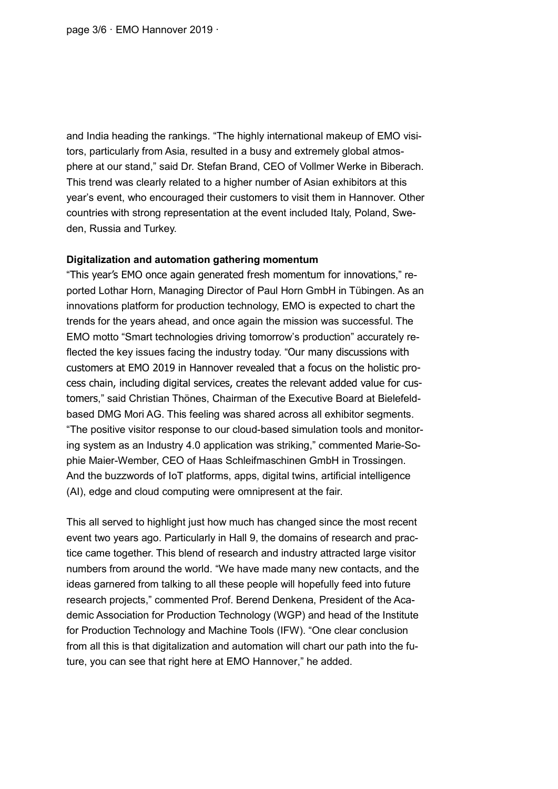page 3/6 · EMO Hannover 2019 ·

and India heading the rankings. "The highly international makeup of EMO visitors, particularly from Asia, resulted in a busy and extremely global atmosphere at our stand," said Dr. Stefan Brand, CEO of Vollmer Werke in Biberach. This trend was clearly related to a higher number of Asian exhibitors at this year's event, who encouraged their customers to visit them in Hannover. Other countries with strong representation at the event included Italy, Poland, Sweden, Russia and Turkey.

#### **Digitalization and automation gathering momentum**

"This year's EMO once again generated fresh momentum for innovations," reported Lothar Horn, Managing Director of Paul Horn GmbH in Tübingen. As an innovations platform for production technology, EMO is expected to chart the trends for the years ahead, and once again the mission was successful. The EMO motto "Smart technologies driving tomorrow's production" accurately reflected the key issues facing the industry today. "Our many discussions with customers at EMO 2019 in Hannover revealed that a focus on the holistic process chain, including digital services, creates the relevant added value for customers," said Christian Thönes, Chairman of the Executive Board at Bielefeldbased DMG Mori AG. This feeling was shared across all exhibitor segments. "The positive visitor response to our cloud-based simulation tools and monitoring system as an Industry 4.0 application was striking," commented Marie-Sophie Maier-Wember, CEO of Haas Schleifmaschinen GmbH in Trossingen. And the buzzwords of IoT platforms, apps, digital twins, artificial intelligence (AI), edge and cloud computing were omnipresent at the fair.

This all served to highlight just how much has changed since the most recent event two years ago. Particularly in Hall 9, the domains of research and practice came together. This blend of research and industry attracted large visitor numbers from around the world. "We have made many new contacts, and the ideas garnered from talking to all these people will hopefully feed into future research projects," commented Prof. Berend Denkena, President of the Academic Association for Production Technology (WGP) and head of the Institute for Production Technology and Machine Tools (IFW). "One clear conclusion from all this is that digitalization and automation will chart our path into the future, you can see that right here at EMO Hannover," he added.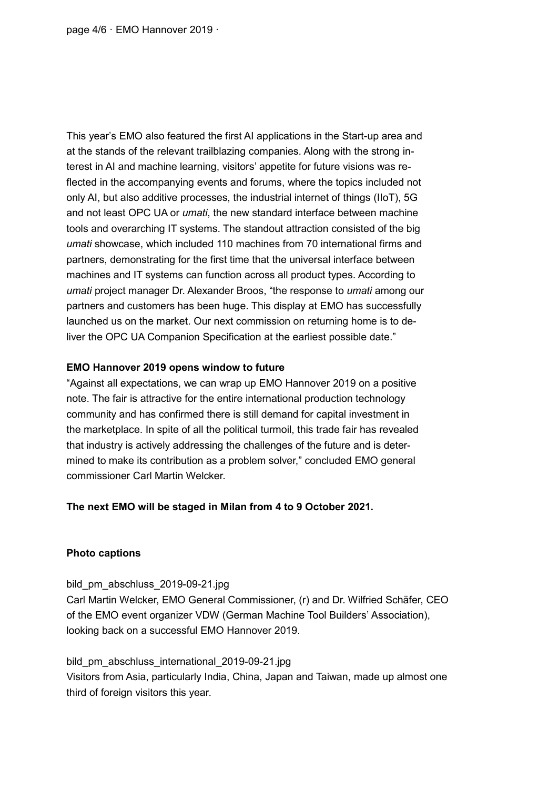page 4/6 · EMO Hannover 2019 ·

This year's EMO also featured the first AI applications in the Start-up area and at the stands of the relevant trailblazing companies. Along with the strong interest in AI and machine learning, visitors' appetite for future visions was reflected in the accompanying events and forums, where the topics included not only AI, but also additive processes, the industrial internet of things (IIoT), 5G and not least OPC UA or *umati*, the new standard interface between machine tools and overarching IT systems. The standout attraction consisted of the big *umati* showcase, which included 110 machines from 70 international firms and partners, demonstrating for the first time that the universal interface between machines and IT systems can function across all product types. According to *umati* project manager Dr. Alexander Broos, "the response to *umati* among our partners and customers has been huge. This display at EMO has successfully launched us on the market. Our next commission on returning home is to deliver the OPC UA Companion Specification at the earliest possible date."

### **EMO Hannover 2019 opens window to future**

"Against all expectations, we can wrap up EMO Hannover 2019 on a positive note. The fair is attractive for the entire international production technology community and has confirmed there is still demand for capital investment in the marketplace. In spite of all the political turmoil, this trade fair has revealed that industry is actively addressing the challenges of the future and is determined to make its contribution as a problem solver," concluded EMO general commissioner Carl Martin Welcker.

### **The next EMO will be staged in Milan from 4 to 9 October 2021.**

### **Photo captions**

bild\_pm\_abschluss\_2019-09-21.jpg Carl Martin Welcker, EMO General Commissioner, (r) and Dr. Wilfried Schäfer, CEO of the EMO event organizer VDW (German Machine Tool Builders' Association), looking back on a successful EMO Hannover 2019.

bild pm abschluss international 2019-09-21.jpg Visitors from Asia, particularly India, China, Japan and Taiwan, made up almost one third of foreign visitors this year.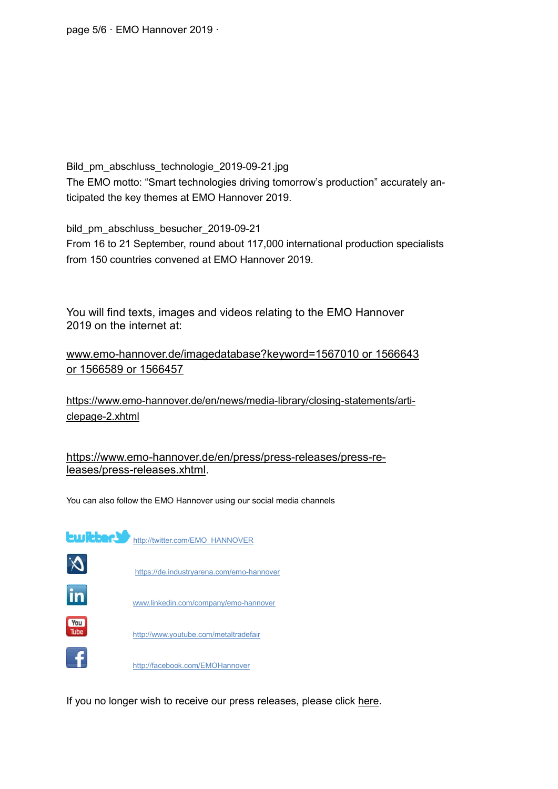page 5/6 · EMO Hannover 2019 ·

Bild\_pm\_abschluss\_technologie\_2019-09-21.jpg The EMO motto: "Smart technologies driving tomorrow's production" accurately anticipated the key themes at EMO Hannover 2019.

bild\_pm\_abschluss\_besucher\_2019-09-21 From 16 to 21 September, round about 117,000 international production specialists from 150 countries convened at EMO Hannover 2019.

You will find texts, images and videos relating to the EMO Hannover 2019 on the internet at:

[www.emo-hannover.de/imagedatabase?keyword=1567010 or 1566643](http://www.emo-hannover.de/imagedatabase?keyword=1567010%20or%201566643%20or%201566589%20or%201566457)  [or 1566589 or 1566457](http://www.emo-hannover.de/imagedatabase?keyword=1567010%20or%201566643%20or%201566589%20or%201566457)

[https://www.emo-hannover.de/en/news/media-library/closing-statements/arti](https://www.emo-hannover.de/en/news/media-library/closing-statements/articlepage-2.xhtml)[clepage-2.xhtml](https://www.emo-hannover.de/en/news/media-library/closing-statements/articlepage-2.xhtml)

[https://www.emo-hannover.de/en/press/press-releases/press-re](https://www.emo-hannover.de/en/press/press-releases/press-releases/press-releases.xhtml)[leases/press-releases.xhtml.](https://www.emo-hannover.de/en/press/press-releases/press-releases/press-releases.xhtml)

You can also follow the EMO Hannover using our social media channels



If you no longer wish to receive our press releases, please click [here.](mailto:i.reinhart@vdw.de?subject=UNSUBSCRIBE:%20Press%20distribution%20list%20VDW&body=Please%20remove%20me%20from%20the%20press%20distribution%20list)